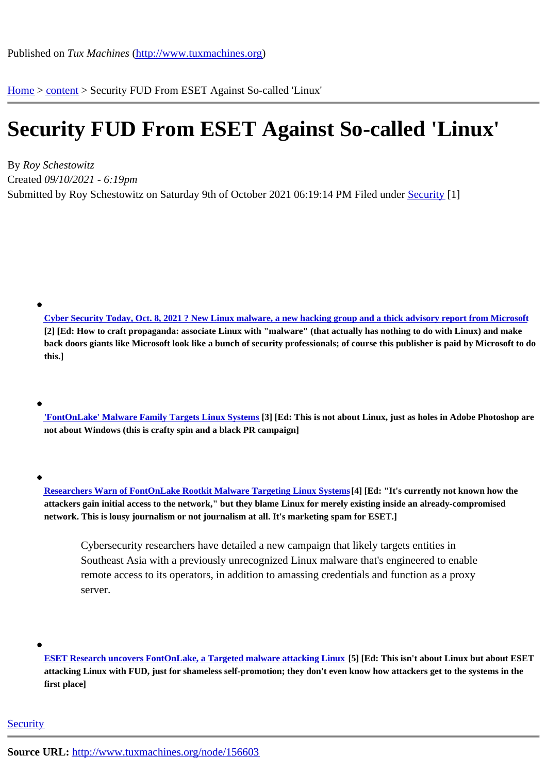Home > content > Security [FUD From ESET Against S](http://www.tuxmachines.org)o-called 'Linux'

## [Se](http://www.tuxmachines.org/)c[urity](http://www.tuxmachines.org/node) FUD From ESET Against So-called 'Linux'

By Roy Schestowitz Created 09/10/2021 - 6:19pm Submitted by Roy Schestowitz on Saturday 9th of October 2021 06:19: F4 PM under Security[1]

Cyber Security Today, Oct. 8, 2021 ? New Linux malware, a new hacking group and a thick advisory report from Microsoft [2] [Ed: How to craft propaganda: associate Linux with "malware" (that actually has nothing to do with Linux) and make back doors giants like Microsoft look like a bunch of security professionals; of course this publisher is paid by Microsoft to do [this.\]](https://www.itworldcanada.com/article/cyber-security-today-oct-8-2021-new-linux-malware-a-new-hacking-group-and-a-thick-advisory-report-from-microsoft/460100)

'FontOnLake' Malware Family Targets Linux Systems[3] [Ed: This is not about Linux, just as holes in Adobe Photoshop are not about Windows (this is crafty spin and a black PR campaign]

Researchers Warn of FontOnLake Rootkit Malware Targeting Linux System[4] [Ed: "It's currently not known how the attackers gain initial access to the network," but they blame Linux for merely existing inside an already-compromised network. This is lousy journalism or not journalism at all. It's marketing spam for ESET.]

Cybersecurity researchers have detailed a new campaign that likely targets entities in Southeast Asia with a previously unrecognized Linux malware that's engineered to enable remote access to its operators, in addition to amassing credentials and function as a proxy server.

ESET Research uncovers FontOnLake, a Targeted malware attacking Linub5] [Ed: This isn't about Linux but about ESET attacking Linux with FUD, just for shameless self-promotion; they don't even know how attackers get to the systems in the first place]

## **Security**

Source URL: http://www.tuxmachines.org/node/156603